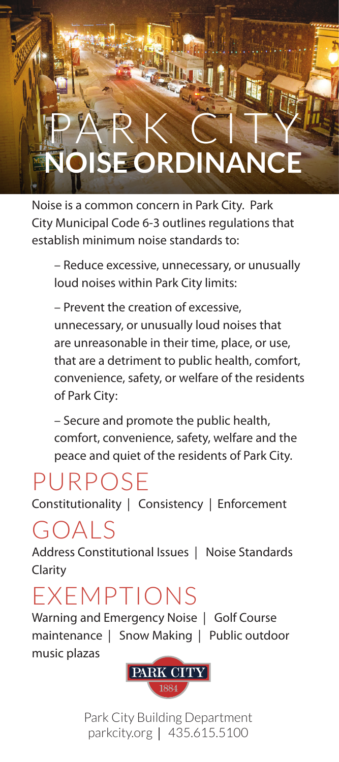## PARK CITY **NSE ORDINANCE**

Lettel.

Noise is a common concern in Park City. Park City Municipal Code 6-3 outlines regulations that establish minimum noise standards to:

– Reduce excessive, unnecessary, or unusually loud noises within Park City limits:

– Prevent the creation of excessive, unnecessary, or unusually loud noises that are unreasonable in their time, place, or use, that are a detriment to public health, comfort, convenience, safety, or welfare of the residents of Park City:

– Secure and promote the public health, comfort, convenience, safety, welfare and the peace and quiet of the residents of Park City.

## PURPOSE

Constitutionality | Consistency | Enforcement

## GOALS

Address Constitutional Issues | Noise Standards Clarity

## EXEMPTIONS

Warning and Emergency Noise | Golf Course maintenance | Snow Making | Public outdoor music plazas



Park City Building Department parkcity.org | 435.615.5100